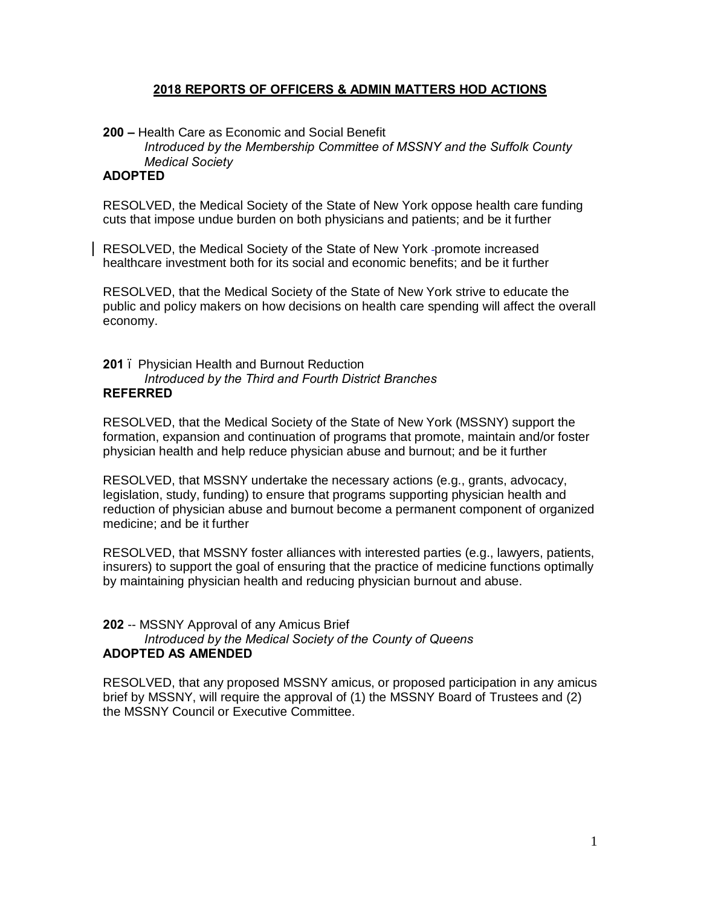# **2018 REPORTS OF OFFICERS & ADMIN MATTERS HOD ACTIONS**

**200 –** Health Care as Economic and Social Benefit *Introduced by the Membership Committee of MSSNY and the Suffolk County Medical Society*

# **ADOPTED**

RESOLVED, the Medical Society of the State of New York oppose health care funding cuts that impose undue burden on both physicians and patients; and be it further

RESOLVED, the Medical Society of the State of New York -promote increased healthcare investment both for its social and economic benefits; and be it further

RESOLVED, that the Medical Society of the State of New York strive to educate the public and policy makers on how decisions on health care spending will affect the overall economy.

#### **201** – Physician Health and Burnout Reduction *Introduced by the Third and Fourth District Branches* **REFERRED**

RESOLVED, that the Medical Society of the State of New York (MSSNY) support the formation, expansion and continuation of programs that promote, maintain and/or foster physician health and help reduce physician abuse and burnout; and be it further

RESOLVED, that MSSNY undertake the necessary actions (e.g., grants, advocacy, legislation, study, funding) to ensure that programs supporting physician health and reduction of physician abuse and burnout become a permanent component of organized medicine; and be it further

RESOLVED, that MSSNY foster alliances with interested parties (e.g., lawyers, patients, insurers) to support the goal of ensuring that the practice of medicine functions optimally by maintaining physician health and reducing physician burnout and abuse.

# **202** -- MSSNY Approval of any Amicus Brief *Introduced by the Medical Society of the County of Queens* **ADOPTED AS AMENDED**

RESOLVED, that any proposed MSSNY amicus, or proposed participation in any amicus brief by MSSNY, will require the approval of (1) the MSSNY Board of Trustees and (2) the MSSNY Council or Executive Committee.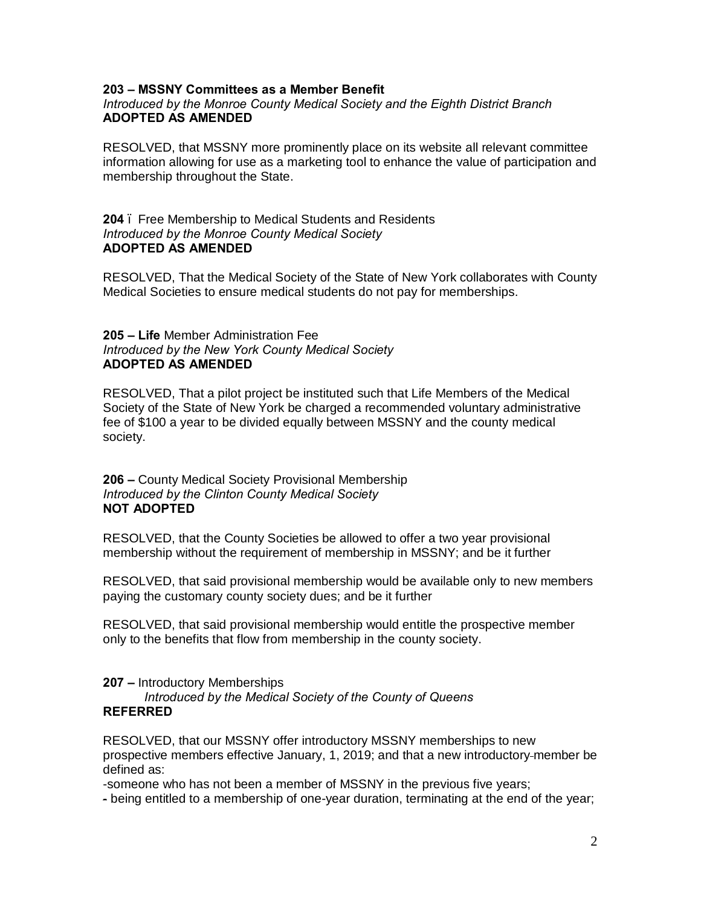## **203 – MSSNY Committees as a Member Benefit**

### *Introduced by the Monroe County Medical Society and the Eighth District Branch* **ADOPTED AS AMENDED**

RESOLVED, that MSSNY more prominently place on its website all relevant committee information allowing for use as a marketing tool to enhance the value of participation and membership throughout the State.

## **204** – Free Membership to Medical Students and Residents *Introduced by the Monroe County Medical Society* **ADOPTED AS AMENDED**

RESOLVED, That the Medical Society of the State of New York collaborates with County Medical Societies to ensure medical students do not pay for memberships.

### **205 – Life** Member Administration Fee *Introduced by the New York County Medical Society* **ADOPTED AS AMENDED**

RESOLVED, That a pilot project be instituted such that Life Members of the Medical Society of the State of New York be charged a recommended voluntary administrative fee of \$100 a year to be divided equally between MSSNY and the county medical society.

**206 –** County Medical Society Provisional Membership *Introduced by the Clinton County Medical Society* **NOT ADOPTED**

RESOLVED, that the County Societies be allowed to offer a two year provisional membership without the requirement of membership in MSSNY; and be it further

RESOLVED, that said provisional membership would be available only to new members paying the customary county society dues; and be it further

RESOLVED, that said provisional membership would entitle the prospective member only to the benefits that flow from membership in the county society.

**207 –** Introductory Memberships

*Introduced by the Medical Society of the County of Queens* **REFERRED** 

RESOLVED, that our MSSNY offer introductory MSSNY memberships to new prospective members effective January, 1, 2019; and that a new introductory member be defined as:

-someone who has not been a member of MSSNY in the previous five years;

- being entitled to a membership of one-year duration, terminating at the end of the year;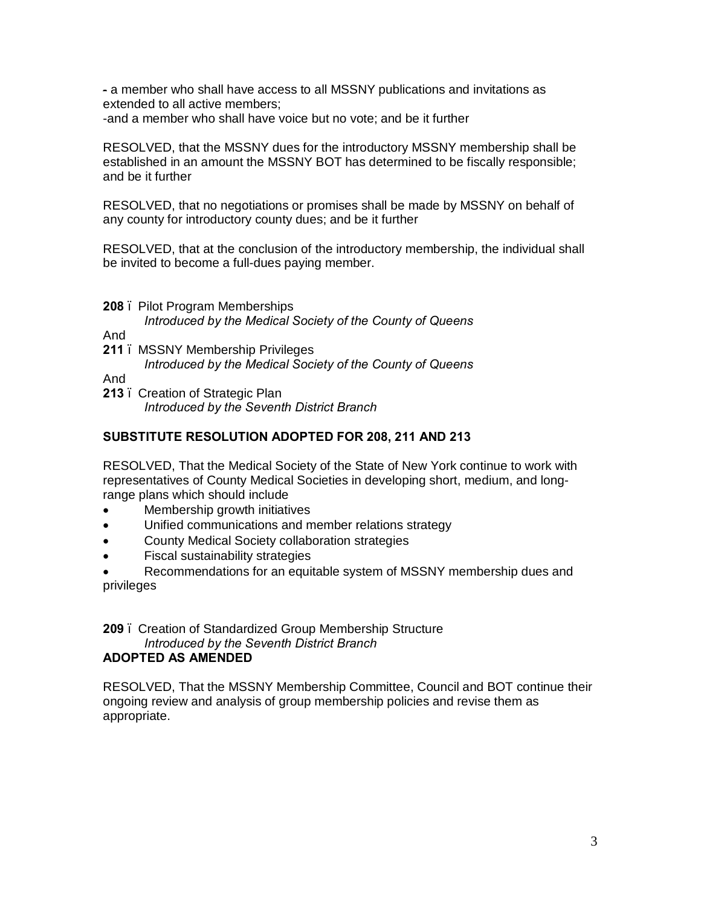- a member who shall have access to all MSSNY publications and invitations as extended to all active members;

-and a member who shall have voice but no vote; and be it further

RESOLVED, that the MSSNY dues for the introductory MSSNY membership shall be established in an amount the MSSNY BOT has determined to be fiscally responsible; and be it further

RESOLVED, that no negotiations or promises shall be made by MSSNY on behalf of any county for introductory county dues; and be it further

RESOLVED, that at the conclusion of the introductory membership, the individual shall be invited to become a full-dues paying member.

**208** – Pilot Program Memberships

*Introduced by the Medical Society of the County of Queens*

And

211 . MSSNY Membership Privileges *Introduced by the Medical Society of the County of Queens*

And

213 . Creation of Strategic Plan *Introduced by the Seventh District Branch*

# **SUBSTITUTE RESOLUTION ADOPTED FOR 208, 211 AND 213**

RESOLVED, That the Medical Society of the State of New York continue to work with representatives of County Medical Societies in developing short, medium, and longrange plans which should include

- Membership growth initiatives
- Unified communications and member relations strategy
- County Medical Society collaboration strategies
- Fiscal sustainability strategies
- Recommendations for an equitable system of MSSNY membership dues and privileges

# **209** – Creation of Standardized Group Membership Structure *Introduced by the Seventh District Branch*

# **ADOPTED AS AMENDED**

RESOLVED, That the MSSNY Membership Committee, Council and BOT continue their ongoing review and analysis of group membership policies and revise them as appropriate.